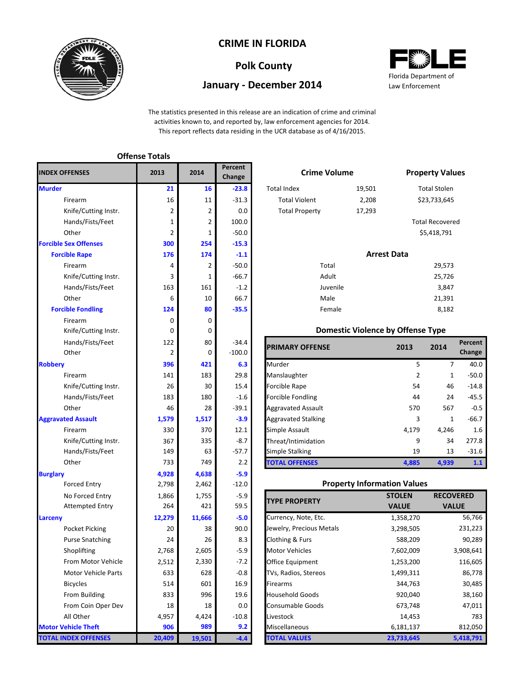

## **CRIME IN FLORIDA**

## **Polk County**

### **January - December 2014**



The statistics presented in this release are an indication of crime and criminal activities known to, and reported by, law enforcement agencies for 2014. This report reflects data residing in the UCR database as of 4/16/2015.

#### Firearm 16 16 11 -31.3 Total Violent 2,208 Knife/Cutting Instr. 2 2 2 0.0 17 Hands/Fists/Feet 1 1 2 100.0 Other 2 1 -50.0 **254 -15.3 174 -1.1** Firearm  $\begin{array}{|c|c|c|c|c|c|}\n\hline\n\text{P} & \text{P} & \text{P} & \text{P} & \text{P} & \text{P} & \text{P} & \text{P} & \text{P} & \text{P} & \text{P} & \text{P} & \text{P} & \text{P} & \text{P} & \text{P} & \text{P} & \text{P} & \text{P} & \text{P} & \text{P} & \text{P} & \text{P} & \text{P} & \text{P} & \text{P} & \text{P} & \text{P} & \text{P} & \text{P} & \text{P} & \text$ Knife/Cutting Instr. 1 -66.7 25,726 Hands/Fists/Feet **163** 163 161 -1.2 Juvenile 3,847 Other 10 6 10 66.7 21,391 **80 -35.5 120 <b>Female 8,182** Firearm 0 0 0 Knife/Cutting Instr. <br>
0 Hands/Fists/Feet 122 80 -34.4 Other 2 0 -100.0 Knife/Cutting Instr. 26 30 15.4 Hands/Fists/Feet 183 180 -1.6 Knife/Cutting Instr. 1 367 335 387 Hands/Fists/Feet 149 63 -57.7 **4,638 -5.9** Forced Entry 2,798 2,462 -12.0 No Forced Entry 1,866 1,755 -5.9 Attempted Entry 1264 421 59.5 **Larceny 12,279 11,666 -5.0** Pocket Picking 20 38 90.0 Purse Snatching 24 26 8.3 Shoplifting 2,768 2,605 -5.9 From Motor Vehicle 2,512 2,330 -7.2 Motor Vehicle Parts  $633$  628 -0.8 Bicycles 514 601 16.9 From Building **19.6 19.6** From Coin Oper Dev 18 18 18 0.0 All Other 10.8 **989 9.2 19,501 -4.4** 367 149 733 **4,928** 2,798 26 183 46 **1,579** 2,768 2,512 633 514 833 1,866 264 **12,279** 20 24 **Burglary 300 176** 4 330 0 122 2 **396** 141 3 163 6 **124** 0 **Aggravated Assault 21** 16 2 1 2 **TOTAL INDEX OFFENSES Offense Totals Murder Forcible Sex Offenses Forcible Rape Forcible Fondling INDEX OFFENSES Robbery** 18 4,957 **906 20,409 Motor Vehicle Theft Percent Change 2013 2014**

|                | Percent<br>Change | <b>Crime Volume</b>   |                    | <b>Property Values</b> |  |  |  |
|----------------|-------------------|-----------------------|--------------------|------------------------|--|--|--|
| 16             | $-23.8$           | <b>Total Index</b>    | 19,501             | <b>Total Stolen</b>    |  |  |  |
| 11             | $-31.3$           | <b>Total Violent</b>  | 2,208              | \$23,733,645           |  |  |  |
| $\overline{2}$ | 0.0               | <b>Total Property</b> | 17,293             |                        |  |  |  |
| $\overline{2}$ | 100.0             |                       |                    | <b>Total Recovered</b> |  |  |  |
| $\mathbf{1}$   | $-50.0$           |                       |                    | \$5,418,791            |  |  |  |
| 54             | $-15.3$           |                       |                    |                        |  |  |  |
| 74             | $-1.1$            |                       | <b>Arrest Data</b> |                        |  |  |  |
| $\overline{2}$ | $-50.0$           | Total                 |                    | 29,573                 |  |  |  |
| 1              | $-66.7$           | Adult                 |                    | 25,726                 |  |  |  |

Juvenile Male Female

#### **Domestic Violence by Offense Type**

| Hands/Fists/Feet     | 122   | 80    | $-34.4$  | <b>PRIMARY OFFENSE</b>     | 2013  | 2014         | Percent |
|----------------------|-------|-------|----------|----------------------------|-------|--------------|---------|
| Other                |       | 0     | $-100.0$ |                            |       |              | Change  |
|                      | 396   | 421   | 6.3      | Murder                     | 5     |              | 40.0    |
| Firearm              | 141   | 183   | 29.8     | Manslaughter               |       | 1            | $-50.0$ |
| Knife/Cutting Instr. | 26    | 30    | 15.4     | Forcible Rape              | 54    | 46           | $-14.8$ |
| Hands/Fists/Feet     | 183   | 180   | $-1.6$   | <b>Forcible Fondling</b>   | 44    | 24           | $-45.5$ |
| Other                | 46    | 28    | $-39.1$  | <b>Aggravated Assault</b>  | 570   | 567          | $-0.5$  |
| ted Assault          | 1,579 | 1,517 | $-3.9$   | <b>Aggravated Stalking</b> | 3     | $\mathbf{1}$ | $-66.7$ |
| Firearm              | 330   | 370   | 12.1     | Simple Assault             | 4.179 | 4.246        | 1.6     |
| Knife/Cutting Instr. | 367   | 335   | $-8.7$   | Threat/Intimidation        | 9     | 34           | 277.8   |
| Hands/Fists/Feet     | 149   | 63    | $-57.7$  | Simple Stalking            | 19    | 13           | $-31.6$ |
| Other                | 733   | 749   | 2.2      | <b>TOTAL OFFENSES</b>      | 4,885 | 4,939        | 1.1     |

#### **Property Information Values**

| <b>TYPE PROPERTY</b>     | <b>STOLEN</b> | <b>RECOVERED</b> |
|--------------------------|---------------|------------------|
|                          | <b>VALUE</b>  | <b>VALUE</b>     |
| Currency, Note, Etc.     | 1,358,270     | 56,766           |
| Jewelry, Precious Metals | 3,298,505     | 231,223          |
| Clothing & Furs          | 588,209       | 90,289           |
| <b>Motor Vehicles</b>    | 7,602,009     | 3,908,641        |
| Office Equipment         | 1,253,200     | 116,605          |
| TVs, Radios, Stereos     | 1,499,311     | 86,778           |
| Firearms                 | 344,763       | 30,485           |
| <b>Household Goods</b>   | 920,040       | 38,160           |
| <b>Consumable Goods</b>  | 673,748       | 47,011           |
| Livestock                | 14,453        | 783              |
| Miscellaneous            | 6,181,137     | 812,050          |
| <b>TOTAL VALUES</b>      | 23,733,645    | 5,418,791        |